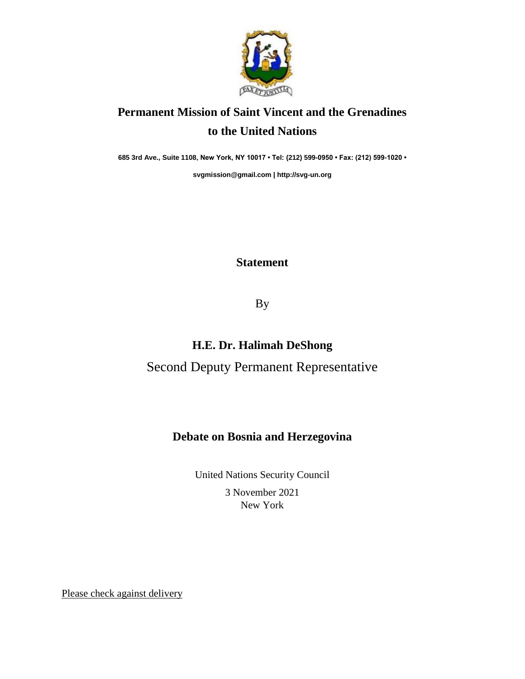

# **Permanent Mission of Saint Vincent and the Grenadines to the United Nations**

**685 3rd Ave., Suite 1108, New York, NY 10017 • Tel: (212) 599-0950 • Fax: (212) 599-1020 •** 

**[svgmission@gmail.com](mailto:svgmission@gmail.com) [| http://svg-un.org](http://svg-un.org/)**

#### **Statement**

By

### **H.E. Dr. Halimah DeShong**

## Second Deputy Permanent Representative

#### **Debate on Bosnia and Herzegovina**

United Nations Security Council 3 November 2021 New York

Please check against delivery